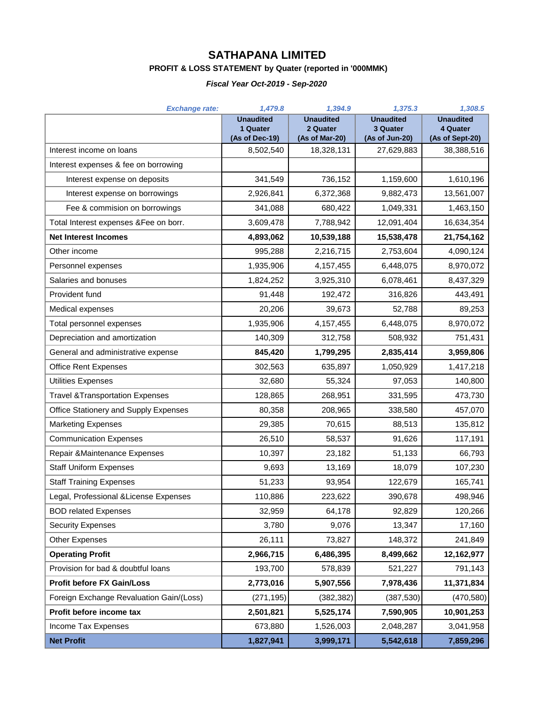# **SATHAPANA LIMITED**

### **PROFIT & LOSS STATEMENT by Quater (reported in '000MMK)**

### *Fiscal Year Oct-2019 - Sep-2020*

| <b>Exchange rate:</b>                      | 1,479.8                                        | 1,394.9                      | 1,375.3                      | 1,308.5                       |
|--------------------------------------------|------------------------------------------------|------------------------------|------------------------------|-------------------------------|
|                                            | <b>Unaudited</b><br>1 Quater<br>(As of Dec-19) | <b>Unaudited</b><br>2 Quater | <b>Unaudited</b><br>3 Quater | <b>Unaudited</b><br>4 Quater  |
| Interest income on loans                   | 8,502,540                                      | (As of Mar-20)<br>18,328,131 | (As of Jun-20)<br>27,629,883 | (As of Sept-20)<br>38,388,516 |
| Interest expenses & fee on borrowing       |                                                |                              |                              |                               |
| Interest expense on deposits               | 341,549                                        | 736,152                      | 1,159,600                    | 1,610,196                     |
| Interest expense on borrowings             | 2,926,841                                      | 6,372,368                    | 9,882,473                    | 13,561,007                    |
| Fee & commision on borrowings              | 341,088                                        | 680,422                      | 1,049,331                    | 1,463,150                     |
| Total Interest expenses &Fee on borr.      | 3,609,478                                      | 7,788,942                    | 12,091,404                   | 16,634,354                    |
| <b>Net Interest Incomes</b>                | 4,893,062                                      | 10,539,188                   | 15,538,478                   | 21,754,162                    |
| Other income                               | 995,288                                        | 2,216,715                    | 2,753,604                    | 4,090,124                     |
| Personnel expenses                         | 1,935,906                                      | 4, 157, 455                  | 6,448,075                    | 8,970,072                     |
| Salaries and bonuses                       | 1,824,252                                      | 3,925,310                    | 6,078,461                    | 8,437,329                     |
| Provident fund                             | 91,448                                         | 192,472                      | 316,826                      | 443,491                       |
| Medical expenses                           | 20,206                                         | 39,673                       | 52,788                       | 89,253                        |
| Total personnel expenses                   | 1,935,906                                      | 4, 157, 455                  | 6,448,075                    | 8,970,072                     |
| Depreciation and amortization              | 140,309                                        | 312,758                      | 508,932                      | 751,431                       |
| General and administrative expense         | 845,420                                        | 1,799,295                    | 2,835,414                    | 3,959,806                     |
| Office Rent Expenses                       | 302,563                                        | 635,897                      | 1,050,929                    | 1,417,218                     |
| <b>Utilities Expenses</b>                  | 32,680                                         | 55,324                       | 97,053                       | 140,800                       |
| <b>Travel &amp;Transportation Expenses</b> | 128,865                                        | 268,951                      | 331,595                      | 473,730                       |
| Office Stationery and Supply Expenses      | 80,358                                         | 208,965                      | 338,580                      | 457,070                       |
| <b>Marketing Expenses</b>                  | 29,385                                         | 70,615                       | 88,513                       | 135,812                       |
| <b>Communication Expenses</b>              | 26,510                                         | 58,537                       | 91,626                       | 117,191                       |
| Repair & Maintenance Expenses              | 10,397                                         | 23,182                       | 51,133                       | 66,793                        |
| <b>Staff Uniform Expenses</b>              | 9,693                                          | 13,169                       | 18,079                       | 107,230                       |
| <b>Staff Training Expenses</b>             | 51,233                                         | 93,954                       | 122,679                      | 165,741                       |
| Legal, Professional & License Expenses     | 110,886                                        | 223,622                      | 390,678                      | 498,946                       |
| <b>BOD related Expenses</b>                | 32,959                                         | 64,178                       | 92,829                       | 120,266                       |
| <b>Security Expenses</b>                   | 3,780                                          | 9,076                        | 13,347                       | 17,160                        |
| <b>Other Expenses</b>                      | 26,111                                         | 73,827                       | 148,372                      | 241,849                       |
| <b>Operating Profit</b>                    | 2,966,715                                      | 6,486,395                    | 8,499,662                    | 12,162,977                    |
| Provision for bad & doubtful loans         | 193,700                                        | 578,839                      | 521,227                      | 791,143                       |
| <b>Profit before FX Gain/Loss</b>          | 2,773,016                                      | 5,907,556                    | 7,978,436                    | 11,371,834                    |
| Foreign Exchange Revaluation Gain/(Loss)   | (271, 195)                                     | (382, 382)                   | (387, 530)                   | (470, 580)                    |
| Profit before income tax                   | 2,501,821                                      | 5,525,174                    | 7,590,905                    | 10,901,253                    |
| Income Tax Expenses                        | 673,880                                        | 1,526,003                    | 2,048,287                    | 3,041,958                     |
| <b>Net Profit</b>                          | 1,827,941                                      | 3,999,171                    | 5,542,618                    | 7,859,296                     |